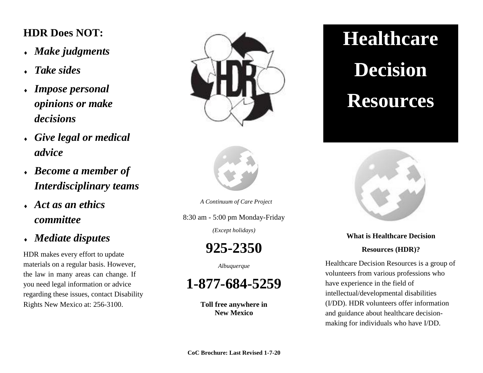## **HDR Does NOT:**

- *Make judgments*
- *Take sides*
- *Impose personal opinions or make decisions*
- *Give legal or medical advice*
- *Become a member of Interdisciplinary teams*
- *Act as an ethics committee*
- *Mediate disputes*

HDR makes every effort to update materials on a regular basis. However, the law in many areas can change. If you need legal information or advice regarding these issues, contact Disability Rights New Mexico at: 256-3100.





*A Continuum of Care Project*

8:30 am - 5:00 pm Monday-Friday *(Except holidays)*

**925-2350**

*Albuquerque*

**1-877-684-5259**

**Toll free anywhere in New Mexico**

# **Healthcare Decision Resources**



## **What is Healthcare Decision**

### **Resources (HDR)?**

Healthcare Decision Resources is a group of volunteers from various professions who have experience in the field of intellectual/developmental disabilities (I/DD). HDR volunteers offer information and guidance about healthcare decisionmaking for individuals who have I/DD.